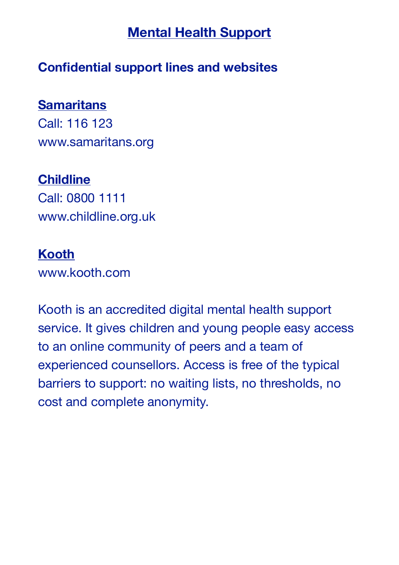## **Mental Health Support**

### **Confidential support lines and websites**

#### **Samaritans**

Call: 116 123 www.samaritans.org

#### **Childline**

Call: 0800 1111 www.childline.org.uk

#### **Kooth**

www.kooth.com

Kooth is an accredited digital mental health support service. It gives children and young people easy access to an online community of peers and a team of experienced counsellors. Access is free of the typical barriers to support: no waiting lists, no thresholds, no cost and complete anonymity.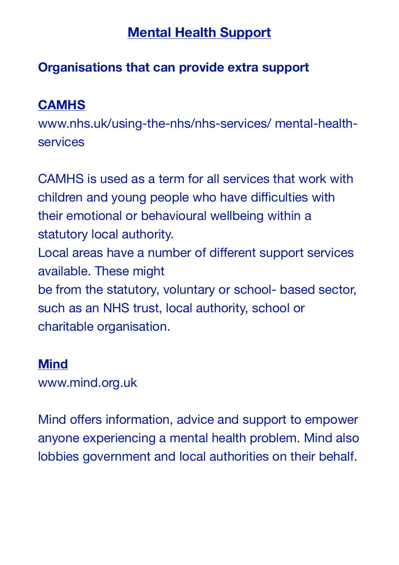# **Mental Health Support**

## **Organisations that can provide extra support**

## **CAMHS**

www.nhs.uk/using-the-nhs/nhs-services/ mental-healthservices

CAMHS is used as a term for all services that work with children and young people who have difficulties with their emotional or behavioural wellbeing within a statutory local authority. Local areas have a number of different support services available. These might be from the statutory, voluntary or school- based sector, such as an NHS trust, local authority, school or charitable organisation.

## **Mind**

www.mind.org.uk

Mind offers information, advice and support to empower anyone experiencing a mental health problem. Mind also lobbies government and local authorities on their behalf.